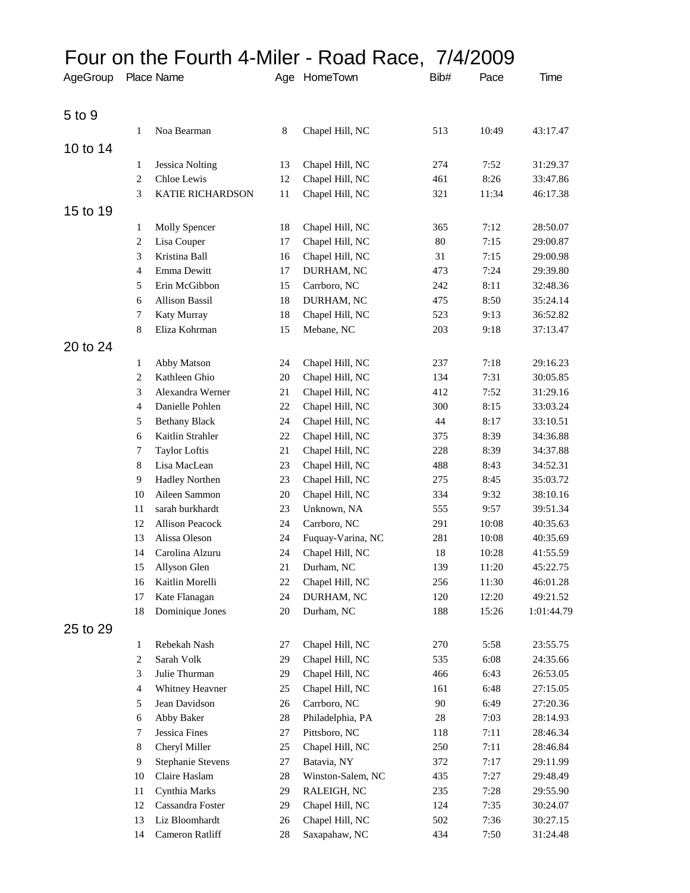## Four on the Fourth 4-Miler - Road Race, 7/4/2009

| AgeGroup |                | Place Name               |         | Age HomeTown      | Bib#   | Pace  | Time       |
|----------|----------------|--------------------------|---------|-------------------|--------|-------|------------|
| 5 to 9   |                |                          |         |                   |        |       |            |
|          | 1              | Noa Bearman              | $\,8\,$ | Chapel Hill, NC   | 513    | 10:49 | 43:17.47   |
| 10 to 14 |                |                          |         |                   |        |       |            |
|          | 1              | Jessica Nolting          | 13      | Chapel Hill, NC   | 274    | 7:52  | 31:29.37   |
|          | 2              | Chloe Lewis              | 12      | Chapel Hill, NC   | 461    | 8:26  | 33:47.86   |
|          | 3              | <b>KATIE RICHARDSON</b>  | 11      | Chapel Hill, NC   | 321    | 11:34 | 46:17.38   |
| 15 to 19 |                |                          |         |                   |        |       |            |
|          | 1              | Molly Spencer            | 18      | Chapel Hill, NC   | 365    | 7:12  | 28:50.07   |
|          | $\overline{c}$ | Lisa Couper              | 17      | Chapel Hill, NC   | 80     | 7:15  | 29:00.87   |
|          | 3              | Kristina Ball            | 16      | Chapel Hill, NC   | 31     | 7:15  | 29:00.98   |
|          | 4              | Emma Dewitt              | $17\,$  | DURHAM, NC        | 473    | 7:24  | 29:39.80   |
|          | 5              | Erin McGibbon            | 15      | Carrboro, NC      | 242    | 8:11  | 32:48.36   |
|          | 6              | <b>Allison Bassil</b>    | 18      | DURHAM, NC        | 475    | 8:50  | 35:24.14   |
|          | 7              | Katy Murray              | 18      | Chapel Hill, NC   | 523    | 9:13  | 36:52.82   |
|          | 8              | Eliza Kohrman            | 15      | Mebane, NC        | 203    | 9:18  | 37:13.47   |
| 20 to 24 |                |                          |         |                   |        |       |            |
|          | 1              | Abby Matson              | 24      | Chapel Hill, NC   | 237    | 7:18  | 29:16.23   |
|          | $\overline{c}$ | Kathleen Ghio            | $20\,$  | Chapel Hill, NC   | 134    | 7:31  | 30:05.85   |
|          | 3              | Alexandra Werner         | $21\,$  | Chapel Hill, NC   | 412    | 7:52  | 31:29.16   |
|          | 4              | Danielle Pohlen          | 22      | Chapel Hill, NC   | 300    | 8:15  | 33:03.24   |
|          | 5              | <b>Bethany Black</b>     | 24      | Chapel Hill, NC   | 44     | 8:17  | 33:10.51   |
|          | 6              | Kaitlin Strahler         | $22\,$  | Chapel Hill, NC   | 375    | 8:39  | 34:36.88   |
|          | 7              | <b>Taylor Loftis</b>     | 21      | Chapel Hill, NC   | 228    | 8:39  | 34:37.88   |
|          | 8              | Lisa MacLean             | 23      | Chapel Hill, NC   | 488    | 8:43  | 34:52.31   |
|          | 9              | <b>Hadley Northen</b>    | 23      | Chapel Hill, NC   | 275    | 8:45  | 35:03.72   |
|          | 10             | Aileen Sammon            | $20\,$  | Chapel Hill, NC   | 334    | 9:32  | 38:10.16   |
|          | 11             | sarah burkhardt          | 23      | Unknown, NA       | 555    | 9:57  | 39:51.34   |
|          | 12             | Allison Peacock          | 24      | Carrboro, NC      | 291    | 10:08 | 40:35.63   |
|          | 13             | Alissa Oleson            | 24      | Fuquay-Varina, NC | 281    | 10:08 | 40:35.69   |
|          | 14             | Carolina Alzuru          | 24      | Chapel Hill, NC   | 18     | 10:28 | 41:55.59   |
|          | 15             | Allyson Glen             | 21      | Durham, NC        | 139    | 11:20 | 45:22.75   |
|          | 16             | Kaitlin Morelli          | 22      | Chapel Hill, NC   | 256    | 11:30 | 46:01.28   |
|          | 17             | Kate Flanagan            | 24      | DURHAM, NC        | 120    | 12:20 | 49:21.52   |
|          | 18             | Dominique Jones          | 20      | Durham, NC        | 188    | 15:26 | 1:01:44.79 |
| 25 to 29 |                |                          |         |                   |        |       |            |
|          | $\mathbf{1}$   | Rebekah Nash             | 27      | Chapel Hill, NC   | 270    | 5:58  | 23:55.75   |
|          | 2              | Sarah Volk               | 29      | Chapel Hill, NC   | 535    | 6:08  | 24:35.66   |
|          | 3              | Julie Thurman            | 29      | Chapel Hill, NC   | 466    | 6:43  | 26:53.05   |
|          | $\overline{4}$ | Whitney Heavner          | 25      | Chapel Hill, NC   | 161    | 6:48  | 27:15.05   |
|          | 5              | Jean Davidson            | $26\,$  | Carrboro, NC      | 90     | 6:49  | 27:20.36   |
|          | 6              | Abby Baker               | 28      | Philadelphia, PA  | $28\,$ | 7:03  | 28:14.93   |
|          | 7              | Jessica Fines            | 27      | Pittsboro, NC     | 118    | 7:11  | 28:46.34   |
|          | 8              | Cheryl Miller            | $25\,$  | Chapel Hill, NC   | 250    | 7:11  | 28:46.84   |
|          | 9              | <b>Stephanie Stevens</b> | $27\,$  | Batavia, NY       | 372    | 7:17  | 29:11.99   |
|          | 10             | Claire Haslam            | $28\,$  | Winston-Salem, NC | 435    | 7:27  | 29:48.49   |
|          | 11             | Cynthia Marks            | 29      | RALEIGH, NC       | 235    | 7:28  | 29:55.90   |
|          | 12             | Cassandra Foster         | 29      | Chapel Hill, NC   | 124    | 7:35  | 30:24.07   |
|          | 13             | Liz Bloomhardt           | 26      | Chapel Hill, NC   | 502    | 7:36  | 30:27.15   |
|          | 14             | Cameron Ratliff          | $28\,$  | Saxapahaw, NC     | 434    | 7:50  | 31:24.48   |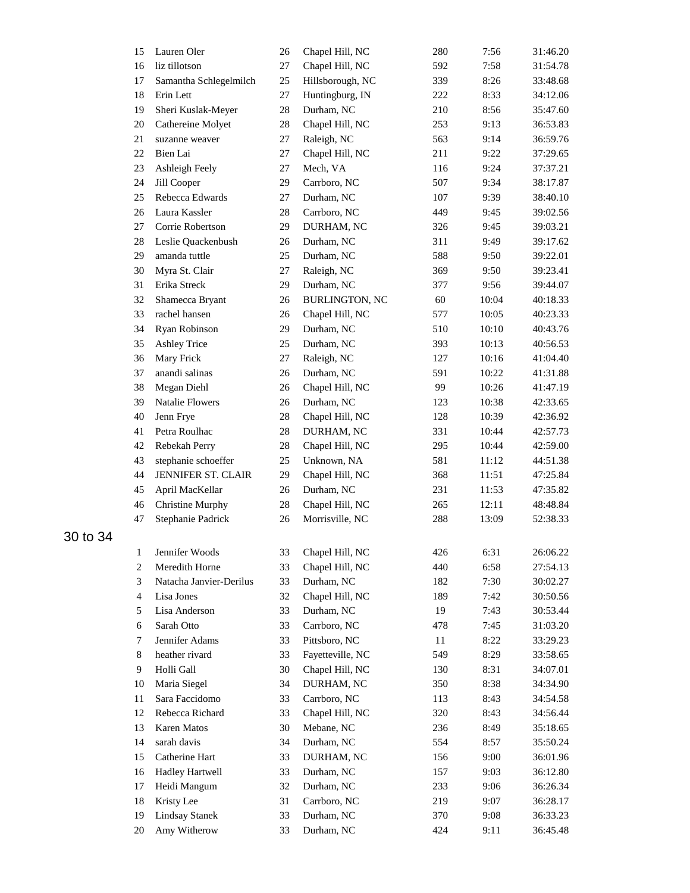| 15             | Lauren Oler             | 26 | Chapel Hill, NC       | 280 | 7:56  | 31:46.20 |
|----------------|-------------------------|----|-----------------------|-----|-------|----------|
| 16             | liz tillotson           | 27 | Chapel Hill, NC       | 592 | 7:58  | 31:54.78 |
| 17             | Samantha Schlegelmilch  | 25 | Hillsborough, NC      | 339 | 8:26  | 33:48.68 |
| 18             | Erin Lett               | 27 | Huntingburg, IN       | 222 | 8:33  | 34:12.06 |
| 19             | Sheri Kuslak-Meyer      | 28 | Durham, NC            | 210 | 8:56  | 35:47.60 |
| 20             | Cathereine Molyet       | 28 | Chapel Hill, NC       | 253 | 9:13  | 36:53.83 |
| 21             | suzanne weaver          | 27 | Raleigh, NC           | 563 | 9:14  | 36:59.76 |
| 22             | Bien Lai                | 27 | Chapel Hill, NC       | 211 | 9:22  | 37:29.65 |
| 23             | Ashleigh Feely          | 27 | Mech, VA              | 116 | 9:24  | 37:37.21 |
| 24             | Jill Cooper             | 29 | Carrboro, NC          | 507 | 9:34  | 38:17.87 |
| 25             | Rebecca Edwards         | 27 | Durham, NC            | 107 | 9:39  | 38:40.10 |
| 26             | Laura Kassler           | 28 | Carrboro, NC          | 449 | 9:45  | 39:02.56 |
| 27             | Corrie Robertson        | 29 | DURHAM, NC            | 326 | 9:45  | 39:03.21 |
| 28             | Leslie Quackenbush      | 26 | Durham, NC            | 311 | 9:49  | 39:17.62 |
| 29             | amanda tuttle           | 25 | Durham, NC            | 588 | 9:50  | 39:22.01 |
| 30             | Myra St. Clair          | 27 | Raleigh, NC           | 369 | 9:50  | 39:23.41 |
| 31             | Erika Streck            | 29 | Durham, NC            | 377 | 9:56  | 39:44.07 |
| 32             | Shamecca Bryant         | 26 | <b>BURLINGTON, NC</b> | 60  | 10:04 | 40:18.33 |
| 33             | rachel hansen           | 26 | Chapel Hill, NC       | 577 | 10:05 | 40:23.33 |
| 34             | Ryan Robinson           | 29 | Durham, NC            | 510 | 10:10 | 40:43.76 |
| 35             | <b>Ashley Trice</b>     | 25 | Durham, NC            | 393 | 10:13 | 40:56.53 |
| 36             | Mary Frick              | 27 | Raleigh, NC           | 127 | 10:16 | 41:04.40 |
| 37             | anandi salinas          | 26 | Durham, NC            | 591 | 10:22 | 41:31.88 |
| 38             | Megan Diehl             | 26 | Chapel Hill, NC       | 99  | 10:26 | 41:47.19 |
| 39             | Natalie Flowers         | 26 | Durham, NC            | 123 | 10:38 | 42:33.65 |
| 40             | Jenn Frye               | 28 | Chapel Hill, NC       | 128 | 10:39 | 42:36.92 |
| 41             | Petra Roulhac           | 28 | DURHAM, NC            | 331 | 10:44 | 42:57.73 |
| 42             | Rebekah Perry           | 28 | Chapel Hill, NC       | 295 | 10:44 | 42:59.00 |
| 43             | stephanie schoeffer     | 25 | Unknown, NA           | 581 | 11:12 | 44:51.38 |
| 44             | JENNIFER ST. CLAIR      | 29 | Chapel Hill, NC       | 368 | 11:51 | 47:25.84 |
| 45             | April MacKellar         | 26 | Durham, NC            | 231 | 11:53 | 47:35.82 |
| 46             | <b>Christine Murphy</b> | 28 | Chapel Hill, NC       | 265 | 12:11 | 48:48.84 |
| 47             | Stephanie Padrick       | 26 | Morrisville, NC       | 288 |       | 52:38.33 |
|                |                         |    |                       |     | 13:09 |          |
| 1              | Jennifer Woods          | 33 | Chapel Hill, NC       | 426 | 6:31  | 26:06.22 |
| $\overline{c}$ | Meredith Horne          | 33 | Chapel Hill, NC       | 440 | 6:58  | 27:54.13 |
| $\mathfrak{Z}$ | Natacha Janvier-Derilus | 33 | Durham, NC            | 182 | 7:30  | 30:02.27 |
| $\overline{4}$ | Lisa Jones              | 32 | Chapel Hill, NC       | 189 | 7:42  | 30:50.56 |
| 5              | Lisa Anderson           | 33 | Durham, NC            | 19  | 7:43  | 30:53.44 |
| 6              | Sarah Otto              | 33 | Carrboro, NC          | 478 | 7:45  | 31:03.20 |
| 7              | Jennifer Adams          | 33 | Pittsboro, NC         | 11  | 8:22  | 33:29.23 |
| 8              | heather rivard          | 33 | Fayetteville, NC      | 549 | 8:29  | 33:58.65 |
| 9              | Holli Gall              | 30 | Chapel Hill, NC       | 130 | 8:31  | 34:07.01 |
| 10             | Maria Siegel            | 34 | DURHAM, NC            | 350 | 8:38  | 34:34.90 |
| 11             | Sara Faccidomo          | 33 | Carrboro, NC          | 113 | 8:43  | 34:54.58 |
| 12             | Rebecca Richard         | 33 | Chapel Hill, NC       | 320 | 8:43  | 34:56.44 |
| 13             | Karen Matos             | 30 | Mebane, NC            | 236 | 8:49  | 35:18.65 |
| 14             | sarah davis             | 34 | Durham, NC            | 554 | 8:57  | 35:50.24 |
| 15             | Catherine Hart          | 33 | DURHAM, NC            | 156 | 9:00  | 36:01.96 |
| 16             | <b>Hadley Hartwell</b>  | 33 | Durham, NC            | 157 | 9:03  | 36:12.80 |
| 17             | Heidi Mangum            | 32 | Durham, NC            | 233 | 9:06  | 36:26.34 |
| 18             | Kristy Lee              | 31 | Carrboro, NC          | 219 | 9:07  | 36:28.17 |
| 19             | <b>Lindsay Stanek</b>   | 33 | Durham, NC            | 370 | 9:08  | 36:33.23 |
| 20             | Amy Witherow            | 33 | Durham, NC            | 424 | 9:11  | 36:45.48 |
|                |                         |    |                       |     |       |          |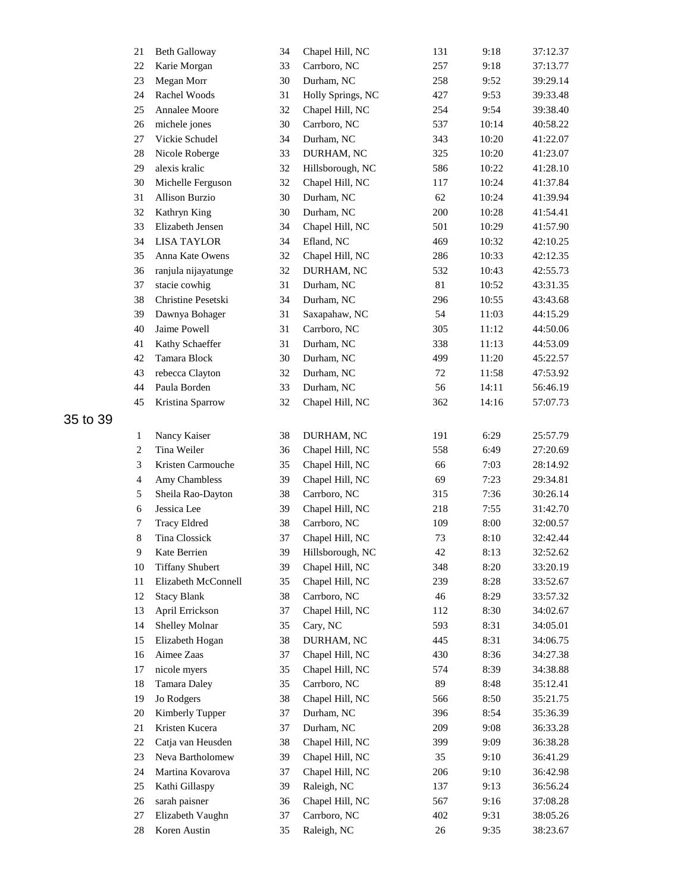| 21             | <b>Beth Galloway</b>        | 34 | Chapel Hill, NC   | 131    | 9:18  | 37:12.37 |
|----------------|-----------------------------|----|-------------------|--------|-------|----------|
| 22             | Karie Morgan                | 33 | Carrboro, NC      | 257    | 9:18  | 37:13.77 |
| 23             | Megan Morr                  | 30 | Durham, NC        | 258    | 9:52  | 39:29.14 |
| 24             | Rachel Woods                | 31 | Holly Springs, NC | 427    | 9:53  | 39:33.48 |
| 25             | <b>Annalee Moore</b>        | 32 | Chapel Hill, NC   | 254    | 9:54  | 39:38.40 |
| 26             | michele jones               | 30 | Carrboro, NC      | 537    | 10:14 | 40:58.22 |
| 27             | Vickie Schudel              | 34 | Durham, NC        | 343    | 10:20 | 41:22.07 |
| 28             | Nicole Roberge              | 33 | DURHAM, NC        | 325    | 10:20 | 41:23.07 |
| 29             | alexis kralic               | 32 | Hillsborough, NC  | 586    | 10:22 | 41:28.10 |
| 30             | Michelle Ferguson           | 32 | Chapel Hill, NC   | 117    | 10:24 | 41:37.84 |
| 31             | <b>Allison Burzio</b>       | 30 | Durham, NC        | 62     | 10:24 | 41:39.94 |
| 32             | Kathryn King                | 30 | Durham, NC        | 200    | 10:28 | 41:54.41 |
| 33             | Elizabeth Jensen            | 34 | Chapel Hill, NC   | 501    | 10:29 | 41:57.90 |
| 34             | <b>LISA TAYLOR</b>          | 34 | Efland, NC        | 469    | 10:32 | 42:10.25 |
| 35             | Anna Kate Owens             | 32 | Chapel Hill, NC   | 286    | 10:33 | 42:12.35 |
| 36             | ranjula nijayatunge         | 32 | DURHAM, NC        | 532    | 10:43 | 42:55.73 |
| 37             | stacie cowhig               | 31 | Durham, NC        | 81     | 10:52 | 43:31.35 |
| 38             | Christine Pesetski          | 34 | Durham, NC        | 296    | 10:55 | 43:43.68 |
| 39             | Dawnya Bohager              | 31 | Saxapahaw, NC     | 54     | 11:03 | 44:15.29 |
| 40             | Jaime Powell                | 31 | Carrboro, NC      | 305    | 11:12 | 44:50.06 |
| 41             | Kathy Schaeffer             | 31 | Durham, NC        | 338    | 11:13 | 44:53.09 |
| 42             | Tamara Block                | 30 | Durham, NC        | 499    | 11:20 | 45:22.57 |
| 43             | rebecca Clayton             | 32 | Durham, NC        | 72     | 11:58 | 47:53.92 |
| 44             | Paula Borden                | 33 | Durham, NC        | 56     | 14:11 | 56:46.19 |
| 45             | Kristina Sparrow            | 32 | Chapel Hill, NC   | 362    | 14:16 | 57:07.73 |
|                |                             |    |                   |        |       |          |
|                |                             |    |                   |        | 6:29  |          |
| 1              | Nancy Kaiser<br>Tina Weiler | 38 | DURHAM, NC        | 191    |       | 25:57.79 |
| $\overline{c}$ |                             | 36 | Chapel Hill, NC   | 558    | 6:49  | 27:20.69 |
| 3              | Kristen Carmouche           | 35 | Chapel Hill, NC   | 66     | 7:03  | 28:14.92 |
| $\overline{4}$ | Amy Chambless               | 39 | Chapel Hill, NC   | 69     | 7:23  | 29:34.81 |
| 5              | Sheila Rao-Dayton           | 38 | Carrboro, NC      | 315    | 7:36  | 30:26.14 |
| $\sqrt{6}$     | Jessica Lee                 | 39 | Chapel Hill, NC   | 218    | 7:55  | 31:42.70 |
| 7              | <b>Tracy Eldred</b>         | 38 | Carrboro, NC      | 109    | 8:00  | 32:00.57 |
| $\,$ 8 $\,$    | Tina Clossick               | 37 | Chapel Hill, NC   | 73     | 8:10  | 32:42.44 |
| 9              | Kate Berrien                | 39 | Hillsborough, NC  | $42\,$ | 8:13  | 32:52.62 |
| 10             | <b>Tiffany Shubert</b>      | 39 | Chapel Hill, NC   | 348    | 8:20  | 33:20.19 |
| 11             | Elizabeth McConnell         | 35 | Chapel Hill, NC   | 239    | 8:28  | 33:52.67 |
| 12             | <b>Stacy Blank</b>          | 38 | Carrboro, NC      | 46     | 8:29  | 33:57.32 |
| 13             | April Errickson             | 37 | Chapel Hill, NC   | 112    | 8:30  | 34:02.67 |
| 14             | Shelley Molnar              | 35 | Cary, NC          | 593    | 8:31  | 34:05.01 |
| 15             | Elizabeth Hogan             | 38 | DURHAM, NC        | 445    | 8:31  | 34:06.75 |
| 16             | Aimee Zaas                  | 37 | Chapel Hill, NC   | 430    | 8:36  | 34:27.38 |
| $17\,$         | nicole myers                | 35 | Chapel Hill, NC   | 574    | 8:39  | 34:38.88 |
| 18             | Tamara Daley                | 35 | Carrboro, NC      | 89     | 8:48  | 35:12.41 |
| 19             | Jo Rodgers                  | 38 | Chapel Hill, NC   | 566    | 8:50  | 35:21.75 |
| 20             | Kimberly Tupper             | 37 | Durham, NC        | 396    | 8:54  | 35:36.39 |
| 21             | Kristen Kucera              | 37 | Durham, NC        | 209    | 9:08  | 36:33.28 |
| 22             | Catja van Heusden           | 38 | Chapel Hill, NC   | 399    | 9:09  | 36:38.28 |
| 23             | Neva Bartholomew            | 39 | Chapel Hill, NC   | 35     | 9:10  | 36:41.29 |
| 24             | Martina Kovarova            | 37 | Chapel Hill, NC   | 206    | 9:10  | 36:42.98 |
| 25             | Kathi Gillaspy              | 39 | Raleigh, NC       | 137    | 9:13  | 36:56.24 |
| 26             | sarah paisner               | 36 | Chapel Hill, NC   | 567    | 9:16  | 37:08.28 |
| 27             | Elizabeth Vaughn            | 37 | Carrboro, NC      | 402    | 9:31  | 38:05.26 |
| 28             | Koren Austin                | 35 | Raleigh, NC       | 26     | 9:35  | 38:23.67 |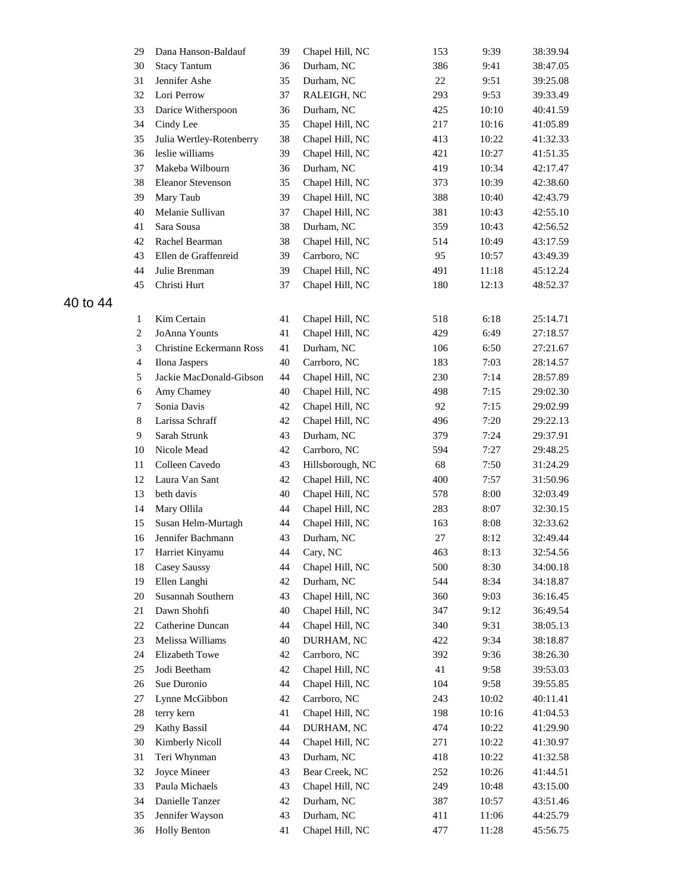|          | 29              | Dana Hanson-Baldauf      | 39 | Chapel Hill, NC  | 153        | 9:39  | 38:39.94 |
|----------|-----------------|--------------------------|----|------------------|------------|-------|----------|
|          | 30              | <b>Stacy Tantum</b>      | 36 | Durham, NC       | 386        | 9:41  | 38:47.05 |
|          | 31              | Jennifer Ashe            | 35 | Durham, NC       | $22\,$     | 9:51  | 39:25.08 |
|          | 32              | Lori Perrow              | 37 | RALEIGH, NC      | 293        | 9:53  | 39:33.49 |
|          | 33              | Darice Witherspoon       | 36 | Durham, NC       | 425        | 10:10 | 40:41.59 |
|          | 34              | Cindy Lee                | 35 | Chapel Hill, NC  | 217        | 10:16 | 41:05.89 |
|          | 35              | Julia Wertley-Rotenberry | 38 | Chapel Hill, NC  | 413        | 10:22 | 41:32.33 |
|          | 36              | leslie williams          | 39 | Chapel Hill, NC  | 421        | 10:27 | 41:51.35 |
|          | 37              | Makeba Wilbourn          | 36 | Durham, NC       | 419        | 10:34 | 42:17.47 |
|          | 38              | <b>Eleanor Stevenson</b> | 35 | Chapel Hill, NC  | 373        | 10:39 | 42:38.60 |
|          | 39              | Mary Taub                | 39 | Chapel Hill, NC  | 388        | 10:40 | 42:43.79 |
|          | 40              | Melanie Sullivan         | 37 | Chapel Hill, NC  | 381        | 10:43 | 42:55.10 |
|          | 41              | Sara Sousa               | 38 | Durham, NC       | 359        | 10:43 | 42:56.52 |
|          | 42              | Rachel Bearman           | 38 | Chapel Hill, NC  | 514        | 10:49 | 43:17.59 |
|          | 43              | Ellen de Graffenreid     | 39 | Carrboro, NC     | 95         | 10:57 | 43:49.39 |
|          | 44              | Julie Brenman            | 39 | Chapel Hill, NC  | 491        | 11:18 | 45:12.24 |
|          | 45              | Christi Hurt             | 37 | Chapel Hill, NC  | 180        | 12:13 | 48:52.37 |
| 40 to 44 |                 |                          |    |                  |            |       |          |
|          |                 | Kim Certain              | 41 | Chapel Hill, NC  | 518        | 6:18  | 25:14.71 |
|          | 1<br>$\sqrt{2}$ | JoAnna Younts            | 41 | Chapel Hill, NC  | 429        | 6:49  | 27:18.57 |
|          |                 | Christine Eckermann Ross |    |                  |            |       | 27:21.67 |
|          | 3               | Ilona Jaspers            | 41 | Durham, NC       | 106<br>183 | 6:50  |          |
|          | $\overline{4}$  |                          | 40 | Carrboro, NC     |            | 7:03  | 28:14.57 |
|          | 5               | Jackie MacDonald-Gibson  | 44 | Chapel Hill, NC  | 230        | 7:14  | 28:57.89 |
|          | 6               | Amy Chamey               | 40 | Chapel Hill, NC  | 498        | 7:15  | 29:02.30 |
|          | 7               | Sonia Davis              | 42 | Chapel Hill, NC  | 92         | 7:15  | 29:02.99 |
|          | 8               | Larissa Schraff          | 42 | Chapel Hill, NC  | 496        | 7:20  | 29:22.13 |
|          | 9               | Sarah Strunk             | 43 | Durham, NC       | 379        | 7:24  | 29:37.91 |
|          | 10              | Nicole Mead              | 42 | Carrboro, NC     | 594        | 7:27  | 29:48.25 |
|          | 11              | Colleen Cavedo           | 43 | Hillsborough, NC | 68         | 7:50  | 31:24.29 |
|          | 12              | Laura Van Sant           | 42 | Chapel Hill, NC  | 400        | 7:57  | 31:50.96 |
|          | 13              | beth davis               | 40 | Chapel Hill, NC  | 578        | 8:00  | 32:03.49 |
|          | 14              | Mary Ollila              | 44 | Chapel Hill, NC  | 283        | 8:07  | 32:30.15 |
|          | 15              | Susan Helm-Murtagh       | 44 | Chapel Hill, NC  | 163        | 8:08  | 32:33.62 |
|          | 16              | Jennifer Bachmann        | 43 | Durham, NC       | 27         | 8:12  | 32:49.44 |
|          | 17              | Harriet Kinyamu          | 44 | Cary, NC         | 463        | 8:13  | 32:54.56 |
|          | 18              | Casey Saussy             | 44 | Chapel Hill, NC  | 500        | 8:30  | 34:00.18 |
|          | 19              | Ellen Langhi             | 42 | Durham, NC       | 544        | 8:34  | 34:18.87 |
|          | 20              | Susannah Southern        | 43 | Chapel Hill, NC  | 360        | 9:03  | 36:16.45 |
|          | 21              | Dawn Shohfi              | 40 | Chapel Hill, NC  | 347        | 9:12  | 36:49.54 |
|          | 22              | Catherine Duncan         | 44 | Chapel Hill, NC  | 340        | 9:31  | 38:05.13 |
|          | 23              | Melissa Williams         | 40 | DURHAM, NC       | 422        | 9:34  | 38:18.87 |
|          | 24              | Elizabeth Towe           | 42 | Carrboro, NC     | 392        | 9:36  | 38:26.30 |
|          | 25              | Jodi Beetham             | 42 | Chapel Hill, NC  | 41         | 9:58  | 39:53.03 |
|          | 26              | Sue Duronio              | 44 | Chapel Hill, NC  | 104        | 9:58  | 39:55.85 |
|          | 27              | Lynne McGibbon           | 42 | Carrboro, NC     | 243        | 10:02 | 40:11.41 |
|          | 28              | terry kern               | 41 | Chapel Hill, NC  | 198        | 10:16 | 41:04.53 |
|          | 29              | Kathy Bassil             | 44 | DURHAM, NC       | 474        | 10:22 | 41:29.90 |
|          | 30              | Kimberly Nicoll          | 44 | Chapel Hill, NC  | 271        | 10:22 | 41:30.97 |
|          | 31              | Teri Whynman             | 43 | Durham, NC       | 418        | 10:22 | 41:32.58 |
|          | 32              | Joyce Mineer             | 43 | Bear Creek, NC   | 252        | 10:26 | 41:44.51 |
|          | 33              | Paula Michaels           | 43 | Chapel Hill, NC  | 249        | 10:48 | 43:15.00 |
|          | 34              | Danielle Tanzer          | 42 | Durham, NC       | 387        | 10:57 | 43:51.46 |
|          | 35              | Jennifer Wayson          | 43 | Durham, NC       | 411        | 11:06 | 44:25.79 |
|          | 36              | <b>Holly Benton</b>      | 41 | Chapel Hill, NC  | 477        | 11:28 | 45:56.75 |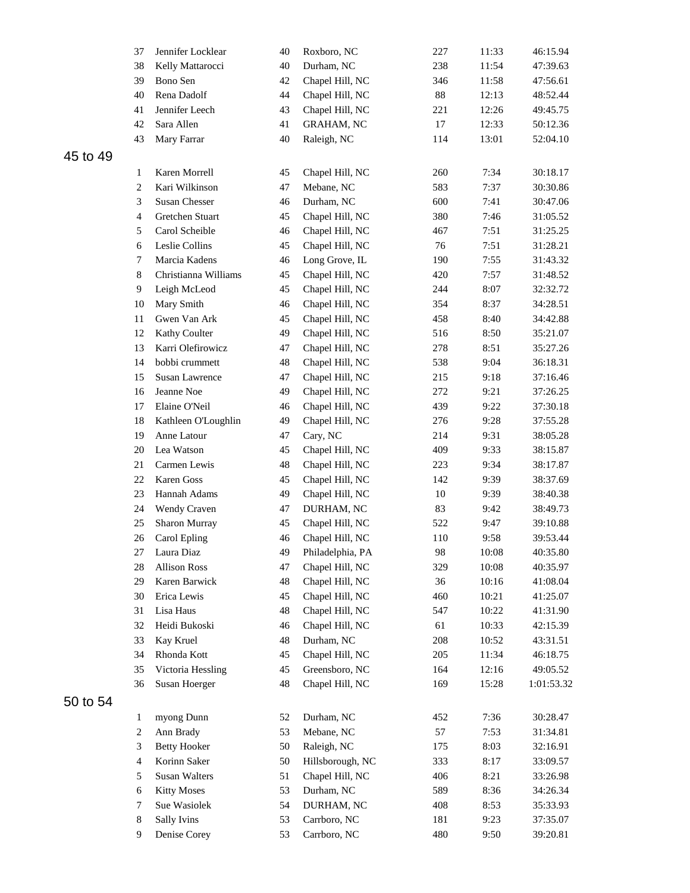|          | 37             | Jennifer Locklear    | 40 | Roxboro, NC       | 227        | 11:33 | 46:15.94   |
|----------|----------------|----------------------|----|-------------------|------------|-------|------------|
|          | 38             | Kelly Mattarocci     | 40 | Durham, NC        | 238        | 11:54 | 47:39.63   |
|          | 39             | Bono Sen             | 42 | Chapel Hill, NC   | 346        | 11:58 | 47:56.61   |
|          | 40             | Rena Dadolf          | 44 | Chapel Hill, NC   | $88\,$     | 12:13 | 48:52.44   |
|          | 41             | Jennifer Leech       | 43 | Chapel Hill, NC   | 221        | 12:26 | 49:45.75   |
|          | 42             | Sara Allen           | 41 | <b>GRAHAM, NC</b> | $17\,$     | 12:33 | 50:12.36   |
|          | 43             | Mary Farrar          | 40 | Raleigh, NC       | 114        | 13:01 | 52:04.10   |
| 45 to 49 |                |                      |    |                   |            |       |            |
|          | 1              | Karen Morrell        | 45 | Chapel Hill, NC   | 260        | 7:34  | 30:18.17   |
|          | $\sqrt{2}$     | Kari Wilkinson       | 47 | Mebane, NC        | 583        | 7:37  | 30:30.86   |
|          | 3              | Susan Chesser        | 46 | Durham, NC        | 600        | 7:41  | 30:47.06   |
|          | $\overline{4}$ | Gretchen Stuart      | 45 | Chapel Hill, NC   | 380        | 7:46  | 31:05.52   |
|          | 5              | Carol Scheible       | 46 | Chapel Hill, NC   | 467        | 7:51  | 31:25.25   |
|          | 6              | Leslie Collins       | 45 | Chapel Hill, NC   | 76         | 7:51  | 31:28.21   |
|          | 7              | Marcia Kadens        | 46 | Long Grove, IL    | 190        | 7:55  | 31:43.32   |
|          |                | Christianna Williams |    |                   | 420        |       |            |
|          | 8              |                      | 45 | Chapel Hill, NC   |            | 7:57  | 31:48.52   |
|          | 9              | Leigh McLeod         | 45 | Chapel Hill, NC   | 244        | 8:07  | 32:32.72   |
|          | 10             | Mary Smith           | 46 | Chapel Hill, NC   | 354        | 8:37  | 34:28.51   |
|          | 11             | Gwen Van Ark         | 45 | Chapel Hill, NC   | 458        | 8:40  | 34:42.88   |
|          | 12             | Kathy Coulter        | 49 | Chapel Hill, NC   | 516        | 8:50  | 35:21.07   |
|          | 13             | Karri Olefirowicz    | 47 | Chapel Hill, NC   | 278        | 8:51  | 35:27.26   |
|          | 14             | bobbi crummett       | 48 | Chapel Hill, NC   | 538        | 9:04  | 36:18.31   |
|          | 15             | Susan Lawrence       | 47 | Chapel Hill, NC   | 215        | 9:18  | 37:16.46   |
|          | 16             | Jeanne Noe           | 49 | Chapel Hill, NC   | 272        | 9:21  | 37:26.25   |
|          | 17             | Elaine O'Neil        | 46 | Chapel Hill, NC   | 439        | 9:22  | 37:30.18   |
|          | 18             | Kathleen O'Loughlin  | 49 | Chapel Hill, NC   | 276        | 9:28  | 37:55.28   |
|          | 19             | Anne Latour          | 47 | Cary, NC          | 214        | 9:31  | 38:05.28   |
|          | 20             | Lea Watson           | 45 | Chapel Hill, NC   | 409        | 9:33  | 38:15.87   |
|          | 21             | Carmen Lewis         | 48 | Chapel Hill, NC   | 223        | 9:34  | 38:17.87   |
|          | 22             | Karen Goss           | 45 | Chapel Hill, NC   | 142        | 9:39  | 38:37.69   |
|          | 23             | Hannah Adams         | 49 | Chapel Hill, NC   | 10         | 9:39  | 38:40.38   |
|          | 24             | Wendy Craven         | 47 | DURHAM, NC        | 83         | 9:42  | 38:49.73   |
|          | 25             | Sharon Murray        | 45 | Chapel Hill, NC   | 522        | 9:47  | 39:10.88   |
|          | 26             | Carol Epling         | 46 | Chapel Hill, NC   | 110        | 9:58  | 39:53.44   |
|          | 27             | Laura Diaz           | 49 | Philadelphia, PA  | 98         | 10:08 | 40:35.80   |
|          | 28             | <b>Allison Ross</b>  | 47 | Chapel Hill, NC   | 329        | 10:08 | 40:35.97   |
|          | 29             | Karen Barwick        | 48 | Chapel Hill, NC   | 36         | 10:16 | 41:08.04   |
|          | 30             | Erica Lewis          | 45 | Chapel Hill, NC   | 460        | 10:21 | 41:25.07   |
|          | 31             | Lisa Haus            | 48 | Chapel Hill, NC   | 547        | 10:22 | 41:31.90   |
|          | 32             | Heidi Bukoski        | 46 | Chapel Hill, NC   | 61         | 10:33 | 42:15.39   |
|          | 33             | Kay Kruel            | 48 | Durham, NC        | 208        | 10:52 | 43:31.51   |
|          | 34             | Rhonda Kott          | 45 | Chapel Hill, NC   | 205        | 11:34 | 46:18.75   |
|          | 35             | Victoria Hessling    | 45 | Greensboro, NC    | 164        | 12:16 | 49:05.52   |
|          | 36             | Susan Hoerger        | 48 | Chapel Hill, NC   | 169        | 15:28 | 1:01:53.32 |
| 50 to 54 |                |                      |    |                   |            |       |            |
|          | 1              | myong Dunn           | 52 | Durham, NC        | 452        | 7:36  | 30:28.47   |
|          | $\sqrt{2}$     | Ann Brady            | 53 | Mebane, NC        | 57         | 7:53  | 31:34.81   |
|          | 3              | <b>Betty Hooker</b>  | 50 | Raleigh, NC       | 175        | 8:03  |            |
|          |                | Korinn Saker         |    |                   |            |       | 32:16.91   |
|          | $\overline{4}$ |                      | 50 | Hillsborough, NC  | 333<br>406 | 8:17  | 33:09.57   |
|          | 5              | Susan Walters        | 51 | Chapel Hill, NC   |            | 8:21  | 33:26.98   |
|          | 6              | <b>Kitty Moses</b>   | 53 | Durham, NC        | 589        | 8:36  | 34:26.34   |
|          | 7              | Sue Wasiolek         | 54 | DURHAM, NC        | 408        | 8:53  | 35:33.93   |
|          | 8              | <b>Sally Ivins</b>   | 53 | Carrboro, NC      | 181        | 9:23  | 37:35.07   |
|          | 9              | Denise Corey         | 53 | Carrboro, NC      | 480        | 9:50  | 39:20.81   |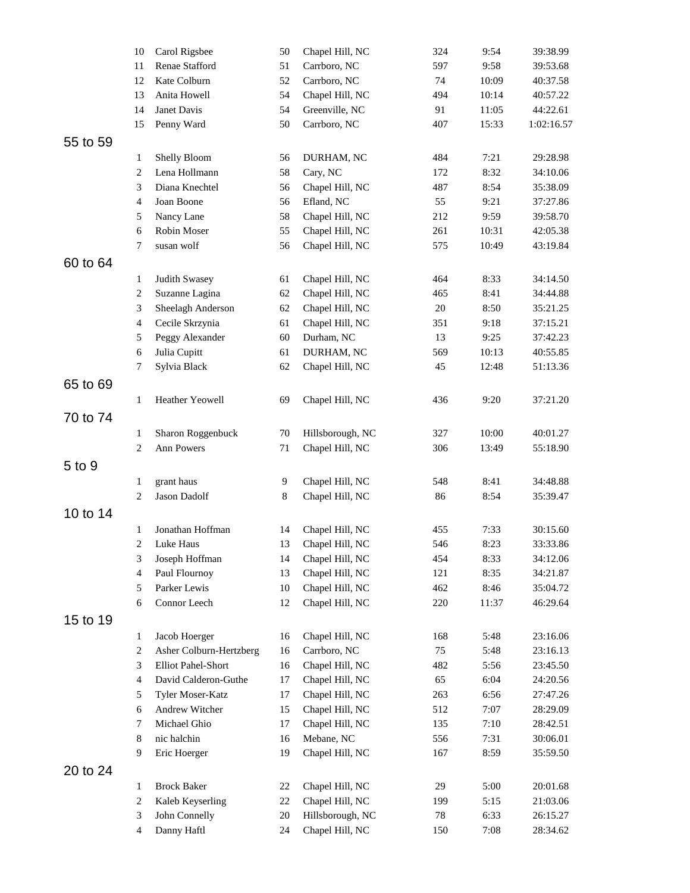|          | 10                          | Carol Rigsbee           | 50           | Chapel Hill, NC  | 324    | 9:54  | 39:38.99   |
|----------|-----------------------------|-------------------------|--------------|------------------|--------|-------|------------|
|          | 11                          | Renae Stafford          | 51           | Carrboro, NC     | 597    | 9:58  | 39:53.68   |
|          | 12                          | Kate Colburn            | 52           | Carrboro, NC     | 74     | 10:09 | 40:37.58   |
|          | 13                          | Anita Howell            | 54           | Chapel Hill, NC  | 494    | 10:14 | 40:57.22   |
|          | 14                          | Janet Davis             | 54           | Greenville, NC   | 91     | 11:05 | 44:22.61   |
|          | 15                          | Penny Ward              | 50           | Carrboro, NC     | 407    | 15:33 | 1:02:16.57 |
| 55 to 59 |                             |                         |              |                  |        |       |            |
|          | 1                           | Shelly Bloom            | 56           | DURHAM, NC       | 484    | 7:21  | 29:28.98   |
|          | $\sqrt{2}$                  | Lena Hollmann           | 58           | Cary, NC         | 172    | 8:32  | 34:10.06   |
|          | 3                           | Diana Knechtel          | 56           | Chapel Hill, NC  | 487    | 8:54  | 35:38.09   |
|          | $\overline{4}$              | Joan Boone              | 56           | Efland, NC       | 55     | 9:21  | 37:27.86   |
|          | 5                           | Nancy Lane              | 58           | Chapel Hill, NC  | 212    | 9:59  | 39:58.70   |
|          | 6                           | Robin Moser             | 55           | Chapel Hill, NC  | 261    | 10:31 | 42:05.38   |
|          | 7                           | susan wolf              | 56           | Chapel Hill, NC  | 575    | 10:49 | 43:19.84   |
| 60 to 64 |                             |                         |              |                  |        |       |            |
|          | $\mathbf{1}$                | <b>Judith Swasey</b>    | 61           | Chapel Hill, NC  | 464    | 8:33  | 34:14.50   |
|          | $\sqrt{2}$                  | Suzanne Lagina          | 62           | Chapel Hill, NC  | 465    | 8:41  | 34:44.88   |
|          | $\ensuremath{\mathfrak{Z}}$ | Sheelagh Anderson       | 62           | Chapel Hill, NC  | $20\,$ | 8:50  | 35:21.25   |
|          | $\overline{4}$              | Cecile Skrzynia         | 61           | Chapel Hill, NC  | 351    | 9:18  | 37:15.21   |
|          | 5                           | Peggy Alexander         | 60           | Durham, NC       | 13     | 9:25  | 37:42.23   |
|          | 6                           | Julia Cupitt            | 61           | DURHAM, NC       | 569    | 10:13 | 40:55.85   |
|          | 7                           | Sylvia Black            | 62           | Chapel Hill, NC  | 45     | 12:48 | 51:13.36   |
| 65 to 69 |                             |                         |              |                  |        |       |            |
|          | 1                           | Heather Yeowell         | 69           | Chapel Hill, NC  | 436    | 9:20  | 37:21.20   |
| 70 to 74 |                             |                         |              |                  |        |       |            |
|          | $\mathbf{1}$                | Sharon Roggenbuck       | 70           | Hillsborough, NC | 327    | 10:00 | 40:01.27   |
|          | $\overline{c}$              | Ann Powers              | 71           | Chapel Hill, NC  | 306    | 13:49 | 55:18.90   |
|          |                             |                         |              |                  |        |       |            |
| 5 to 9   |                             |                         |              |                  |        |       |            |
|          | $\mathbf{1}$                | grant haus              | $\mathbf{9}$ | Chapel Hill, NC  | 548    | 8:41  | 34:48.88   |
|          | $\overline{2}$              | Jason Dadolf            | 8            | Chapel Hill, NC  | 86     | 8:54  | 35:39.47   |
| 10 to 14 |                             |                         |              |                  |        |       |            |
|          | 1                           | Jonathan Hoffman        | 14           | Chapel Hill, NC  | 455    | 7:33  | 30:15.60   |
|          | $\mathbf{2}$                | Luke Haus               | 13           | Chapel Hill, NC  | 546    | 8:23  | 33:33.86   |
|          | 3                           | Joseph Hoffman          | 14           | Chapel Hill, NC  | 454    | 8:33  | 34:12.06   |
|          | 4                           | Paul Flournoy           | 13           | Chapel Hill, NC  | 121    | 8:35  | 34:21.87   |
|          | 5                           | Parker Lewis            | $10\,$       | Chapel Hill, NC  | 462    | 8:46  | 35:04.72   |
|          | 6                           | Connor Leech            | 12           | Chapel Hill, NC  | 220    | 11:37 | 46:29.64   |
| 15 to 19 |                             |                         |              |                  |        |       |            |
|          | 1                           | Jacob Hoerger           | 16           | Chapel Hill, NC  | 168    | 5:48  | 23:16.06   |
|          | $\sqrt{2}$                  | Asher Colburn-Hertzberg | 16           | Carrboro, NC     | 75     | 5:48  | 23:16.13   |
|          | $\ensuremath{\mathfrak{Z}}$ | Elliot Pahel-Short      | 16           | Chapel Hill, NC  | 482    | 5:56  | 23:45.50   |
|          | $\overline{4}$              | David Calderon-Guthe    | 17           | Chapel Hill, NC  | 65     | 6:04  | 24:20.56   |
|          | 5                           | Tyler Moser-Katz        | 17           | Chapel Hill, NC  | 263    | 6:56  | 27:47.26   |
|          | 6                           | Andrew Witcher          | 15           | Chapel Hill, NC  | 512    | 7:07  | 28:29.09   |
|          | 7                           | Michael Ghio            | 17           | Chapel Hill, NC  | 135    | 7:10  | 28:42.51   |
|          | $\,8\,$                     | nic halchin             | 16           | Mebane, NC       | 556    | 7:31  | 30:06.01   |
|          | 9                           | Eric Hoerger            | 19           | Chapel Hill, NC  | 167    | 8:59  | 35:59.50   |
| 20 to 24 |                             |                         |              |                  |        |       |            |
|          | $\mathbf{1}$                | <b>Brock Baker</b>      | 22           | Chapel Hill, NC  | 29     | 5:00  | 20:01.68   |
|          | $\sqrt{2}$                  | Kaleb Keyserling        | 22           | Chapel Hill, NC  | 199    | 5:15  | 21:03.06   |
|          | 3                           | John Connelly           | 20           | Hillsborough, NC | 78     | 6:33  | 26:15.27   |
|          | 4                           | Danny Haftl             | 24           | Chapel Hill, NC  | 150    | 7:08  | 28:34.62   |
|          |                             |                         |              |                  |        |       |            |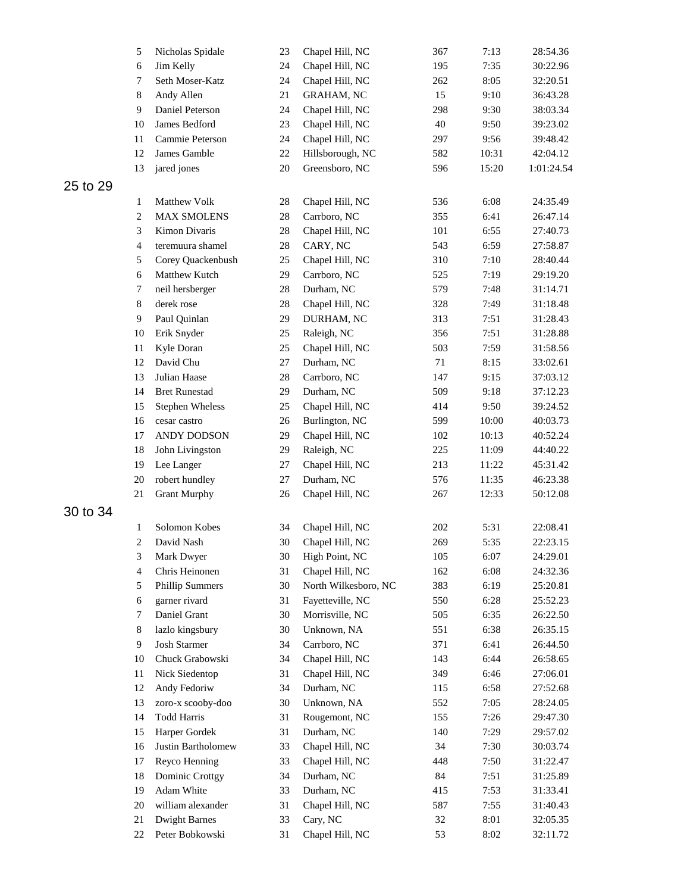|          | 5              | Nicholas Spidale              | 23     | Chapel Hill, NC      | 367 | 7:13  | 28:54.36   |
|----------|----------------|-------------------------------|--------|----------------------|-----|-------|------------|
|          | 6              | Jim Kelly                     | 24     | Chapel Hill, NC      | 195 | 7:35  | 30:22.96   |
|          | 7              | Seth Moser-Katz               | 24     | Chapel Hill, NC      | 262 | 8:05  | 32:20.51   |
|          | $\,8\,$        | Andy Allen                    | 21     | <b>GRAHAM, NC</b>    | 15  | 9:10  | 36:43.28   |
|          | 9              | Daniel Peterson               | 24     | Chapel Hill, NC      | 298 | 9:30  | 38:03.34   |
|          | 10             | James Bedford                 | 23     | Chapel Hill, NC      | 40  | 9:50  | 39:23.02   |
|          | 11             | Cammie Peterson               | 24     | Chapel Hill, NC      | 297 | 9:56  | 39:48.42   |
|          | 12             | James Gamble                  | $22\,$ | Hillsborough, NC     | 582 | 10:31 | 42:04.12   |
|          | 13             | jared jones                   | 20     | Greensboro, NC       | 596 | 15:20 | 1:01:24.54 |
| 25 to 29 |                |                               |        |                      |     |       |            |
|          | $\mathbf{1}$   | Matthew Volk                  | 28     | Chapel Hill, NC      | 536 | 6:08  | 24:35.49   |
|          | $\sqrt{2}$     | <b>MAX SMOLENS</b>            | 28     | Carrboro, NC         | 355 | 6:41  | 26:47.14   |
|          | 3              | Kimon Divaris                 | 28     | Chapel Hill, NC      | 101 | 6:55  | 27:40.73   |
|          | $\overline{4}$ | teremuura shamel              | 28     | CARY, NC             | 543 | 6:59  | 27:58.87   |
|          | 5              | Corey Quackenbush             | 25     | Chapel Hill, NC      | 310 | 7:10  | 28:40.44   |
|          | 6              | Matthew Kutch                 | 29     | Carrboro, NC         | 525 | 7:19  | 29:19.20   |
|          |                |                               |        |                      |     |       | 31:14.71   |
|          | 7<br>$\,8\,$   | neil hersberger<br>derek rose | 28     | Durham, NC           | 579 | 7:48  |            |
|          |                |                               | 28     | Chapel Hill, NC      | 328 | 7:49  | 31:18.48   |
|          | 9              | Paul Quinlan                  | 29     | DURHAM, NC           | 313 | 7:51  | 31:28.43   |
|          | 10             | Erik Snyder                   | 25     | Raleigh, NC          | 356 | 7:51  | 31:28.88   |
|          | 11             | Kyle Doran                    | 25     | Chapel Hill, NC      | 503 | 7:59  | 31:58.56   |
|          | 12             | David Chu                     | 27     | Durham, NC           | 71  | 8:15  | 33:02.61   |
|          | 13             | Julian Haase                  | 28     | Carrboro, NC         | 147 | 9:15  | 37:03.12   |
|          | 14             | <b>Bret Runestad</b>          | 29     | Durham, NC           | 509 | 9:18  | 37:12.23   |
|          | 15             | <b>Stephen Wheless</b>        | 25     | Chapel Hill, NC      | 414 | 9:50  | 39:24.52   |
|          | 16             | cesar castro                  | 26     | Burlington, NC       | 599 | 10:00 | 40:03.73   |
|          | 17             | ANDY DODSON                   | 29     | Chapel Hill, NC      | 102 | 10:13 | 40:52.24   |
|          | 18             | John Livingston               | 29     | Raleigh, NC          | 225 | 11:09 | 44:40.22   |
|          | 19             | Lee Langer                    | 27     | Chapel Hill, NC      | 213 | 11:22 | 45:31.42   |
|          | 20             | robert hundley                | 27     | Durham, NC           | 576 | 11:35 | 46:23.38   |
|          | 21             | <b>Grant Murphy</b>           | 26     | Chapel Hill, NC      | 267 | 12:33 | 50:12.08   |
| 30 to 34 |                |                               |        |                      |     |       |            |
|          | $\mathbf{1}$   | Solomon Kobes                 | 34     | Chapel Hill, NC      | 202 | 5:31  | 22:08.41   |
|          | $\sqrt{2}$     | David Nash                    | 30     | Chapel Hill, NC      | 269 | 5:35  | 22:23.15   |
|          | 3              | Mark Dwyer                    | $30\,$ | High Point, NC       | 105 | 6:07  | 24:29.01   |
|          | $\overline{4}$ | Chris Heinonen                | 31     | Chapel Hill, NC      | 162 | 6:08  | 24:32.36   |
|          | 5              | <b>Phillip Summers</b>        | 30     | North Wilkesboro, NC | 383 | 6:19  | 25:20.81   |
|          | 6              | garner rivard                 | 31     | Fayetteville, NC     | 550 | 6:28  | 25:52.23   |
|          | 7              | Daniel Grant                  | 30     | Morrisville, NC      | 505 | 6:35  | 26:22.50   |
|          | $\,8\,$        | lazlo kingsbury               | 30     | Unknown, NA          | 551 | 6:38  | 26:35.15   |
|          | 9              | <b>Josh Starmer</b>           | 34     | Carrboro, NC         | 371 | 6:41  | 26:44.50   |
|          | 10             | Chuck Grabowski               | 34     | Chapel Hill, NC      | 143 | 6:44  | 26:58.65   |
|          | 11             | Nick Siedentop                | 31     | Chapel Hill, NC      | 349 | 6:46  | 27:06.01   |
|          | 12             | Andy Fedoriw                  | 34     | Durham, NC           | 115 | 6:58  | 27:52.68   |
|          | 13             | zoro-x scooby-doo             | 30     | Unknown, NA          | 552 | 7:05  | 28:24.05   |
|          | 14             | <b>Todd Harris</b>            | 31     | Rougemont, NC        | 155 | 7:26  | 29:47.30   |
|          | 15             | Harper Gordek                 | 31     | Durham, NC           | 140 | 7:29  | 29:57.02   |
|          | 16             | Justin Bartholomew            | 33     | Chapel Hill, NC      | 34  | 7:30  | 30:03.74   |
|          | 17             | Reyco Henning                 | 33     | Chapel Hill, NC      | 448 | 7:50  | 31:22.47   |
|          | 18             | Dominic Crottgy               | 34     | Durham, NC           | 84  | 7:51  | 31:25.89   |
|          | 19             | Adam White                    | 33     | Durham, NC           | 415 | 7:53  | 31:33.41   |
|          | 20             | william alexander             | 31     | Chapel Hill, NC      | 587 | 7:55  | 31:40.43   |
|          | 21             | <b>Dwight Barnes</b>          | 33     | Cary, NC             | 32  | 8:01  | 32:05.35   |
|          | 22             | Peter Bobkowski               | 31     | Chapel Hill, NC      | 53  | 8:02  | 32:11.72   |
|          |                |                               |        |                      |     |       |            |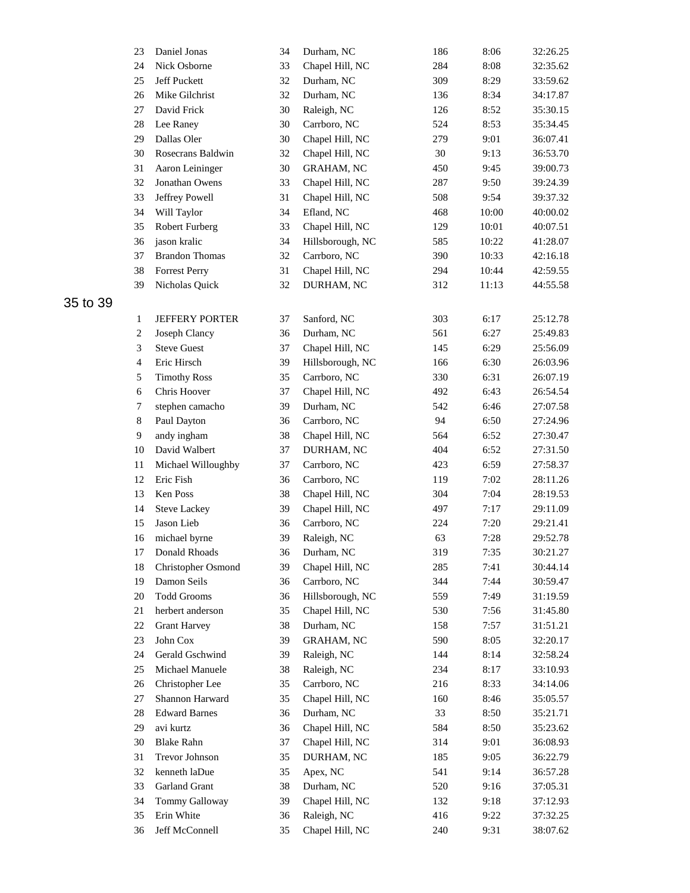|          | 23             | Daniel Jonas          | 34 | Durham, NC        | 186 | 8:06  | 32:26.25 |
|----------|----------------|-----------------------|----|-------------------|-----|-------|----------|
|          | 24             | Nick Osborne          | 33 | Chapel Hill, NC   | 284 | 8:08  | 32:35.62 |
|          | 25             | Jeff Puckett          | 32 | Durham, NC        | 309 | 8:29  | 33:59.62 |
|          | 26             | Mike Gilchrist        | 32 | Durham, NC        | 136 | 8:34  | 34:17.87 |
|          | 27             | David Frick           | 30 | Raleigh, NC       | 126 | 8:52  | 35:30.15 |
|          | 28             | Lee Raney             | 30 | Carrboro, NC      | 524 | 8:53  | 35:34.45 |
|          | 29             | Dallas Oler           | 30 | Chapel Hill, NC   | 279 | 9:01  | 36:07.41 |
|          | 30             | Rosecrans Baldwin     | 32 | Chapel Hill, NC   | 30  | 9:13  | 36:53.70 |
|          | 31             | Aaron Leininger       | 30 | <b>GRAHAM, NC</b> | 450 | 9:45  | 39:00.73 |
|          | 32             | Jonathan Owens        | 33 | Chapel Hill, NC   | 287 | 9:50  | 39:24.39 |
|          | 33             | Jeffrey Powell        | 31 | Chapel Hill, NC   | 508 | 9:54  | 39:37.32 |
|          | 34             | Will Taylor           | 34 | Efland, NC        | 468 | 10:00 | 40:00.02 |
|          | 35             | <b>Robert Furberg</b> | 33 | Chapel Hill, NC   | 129 | 10:01 | 40:07.51 |
|          | 36             | jason kralic          | 34 | Hillsborough, NC  | 585 | 10:22 | 41:28.07 |
|          | 37             | <b>Brandon Thomas</b> | 32 | Carrboro, NC      | 390 | 10:33 | 42:16.18 |
|          | 38             | <b>Forrest Perry</b>  | 31 | Chapel Hill, NC   | 294 | 10:44 | 42:59.55 |
|          | 39             | Nicholas Quick        | 32 | DURHAM, NC        | 312 | 11:13 | 44:55.58 |
| 35 to 39 |                |                       |    |                   |     |       |          |
|          | 1              | <b>JEFFERY PORTER</b> | 37 | Sanford, NC       | 303 | 6:17  | 25:12.78 |
|          | $\sqrt{2}$     | Joseph Clancy         | 36 | Durham, NC        | 561 | 6:27  | 25:49.83 |
|          | 3              | <b>Steve Guest</b>    | 37 | Chapel Hill, NC   | 145 | 6:29  | 25:56.09 |
|          | $\overline{4}$ | Eric Hirsch           | 39 | Hillsborough, NC  | 166 | 6:30  | 26:03.96 |
|          |                |                       |    |                   | 330 | 6:31  |          |
|          | 5              | <b>Timothy Ross</b>   | 35 | Carrboro, NC      |     |       | 26:07.19 |
|          | 6              | Chris Hoover          | 37 | Chapel Hill, NC   | 492 | 6:43  | 26:54.54 |
|          | 7              | stephen camacho       | 39 | Durham, NC        | 542 | 6:46  | 27:07.58 |
|          | 8              | Paul Dayton           | 36 | Carrboro, NC      | 94  | 6:50  | 27:24.96 |
|          | 9              | andy ingham           | 38 | Chapel Hill, NC   | 564 | 6:52  | 27:30.47 |
|          | 10             | David Walbert         | 37 | DURHAM, NC        | 404 | 6:52  | 27:31.50 |
|          | 11             | Michael Willoughby    | 37 | Carrboro, NC      | 423 | 6:59  | 27:58.37 |
|          | 12             | Eric Fish             | 36 | Carrboro, NC      | 119 | 7:02  | 28:11.26 |
|          | 13             | Ken Poss              | 38 | Chapel Hill, NC   | 304 | 7:04  | 28:19.53 |
|          | 14             | <b>Steve Lackey</b>   | 39 | Chapel Hill, NC   | 497 | 7:17  | 29:11.09 |
|          | 15             | Jason Lieb            | 36 | Carrboro, NC      | 224 | 7:20  | 29:21.41 |
|          | 16             | michael byrne         | 39 | Raleigh, NC       | 63  | 7:28  | 29:52.78 |
|          | 17             | Donald Rhoads         | 36 | Durham, NC        | 319 | 7:35  | 30:21.27 |
|          | 18             | Christopher Osmond    | 39 | Chapel Hill, NC   | 285 | 7:41  | 30:44.14 |
|          | 19             | Damon Seils           | 36 | Carrboro, NC      | 344 | 7:44  | 30:59.47 |
|          | 20             | <b>Todd Grooms</b>    | 36 | Hillsborough, NC  | 559 | 7:49  | 31:19.59 |
|          | 21             | herbert anderson      | 35 | Chapel Hill, NC   | 530 | 7:56  | 31:45.80 |
|          | 22             | <b>Grant Harvey</b>   | 38 | Durham, NC        | 158 | 7:57  | 31:51.21 |
|          | 23             | John Cox              | 39 | <b>GRAHAM, NC</b> | 590 | 8:05  | 32:20.17 |
|          | 24             | Gerald Gschwind       | 39 | Raleigh, NC       | 144 | 8:14  | 32:58.24 |
|          | 25             | Michael Manuele       | 38 | Raleigh, NC       | 234 | 8:17  | 33:10.93 |
|          | 26             | Christopher Lee       | 35 | Carrboro, NC      | 216 | 8:33  | 34:14.06 |
|          | 27             | Shannon Harward       | 35 | Chapel Hill, NC   | 160 | 8:46  | 35:05.57 |
|          | 28             | <b>Edward Barnes</b>  | 36 | Durham, NC        | 33  | 8:50  | 35:21.71 |
|          | 29             | avi kurtz             | 36 | Chapel Hill, NC   | 584 | 8:50  | 35:23.62 |
|          | 30             | <b>Blake Rahn</b>     | 37 | Chapel Hill, NC   | 314 | 9:01  | 36:08.93 |
|          | 31             | Trevor Johnson        | 35 | DURHAM, NC        | 185 | 9:05  | 36:22.79 |
|          | 32             | kenneth laDue         | 35 | Apex, NC          | 541 | 9:14  | 36:57.28 |
|          | 33             | Garland Grant         | 38 | Durham, NC        | 520 | 9:16  | 37:05.31 |
|          | 34             | Tommy Galloway        | 39 | Chapel Hill, NC   | 132 | 9:18  | 37:12.93 |
|          | 35             | Erin White            | 36 | Raleigh, NC       | 416 | 9:22  | 37:32.25 |
|          | 36             | Jeff McConnell        | 35 | Chapel Hill, NC   | 240 | 9:31  | 38:07.62 |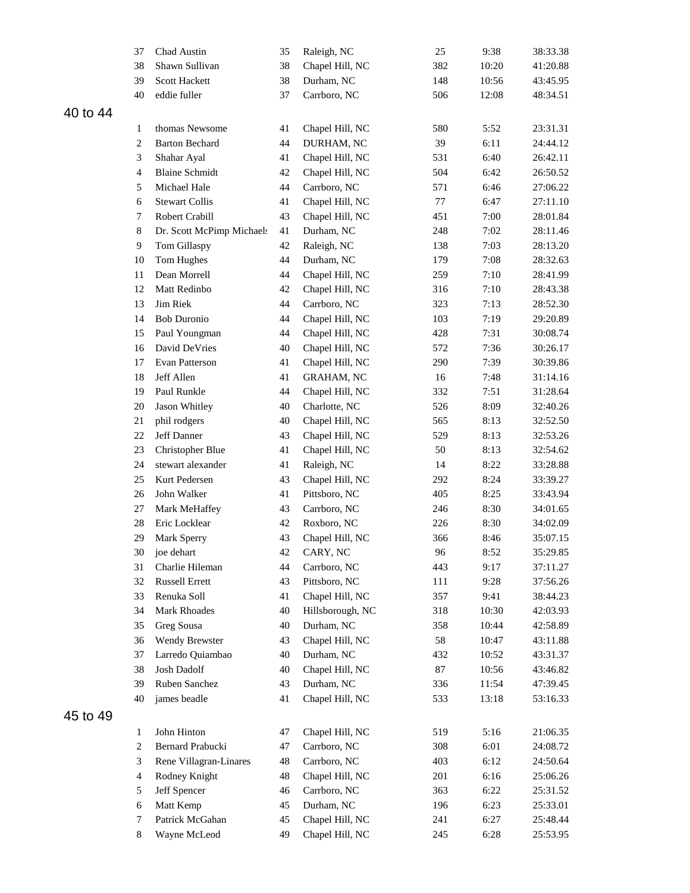|          | 37             | Chad Austin                | 35 | Raleigh, NC       | 25  | 9:38  | 38:33.38 |
|----------|----------------|----------------------------|----|-------------------|-----|-------|----------|
|          | 38             | Shawn Sullivan             | 38 | Chapel Hill, NC   | 382 | 10:20 | 41:20.88 |
|          | 39             | <b>Scott Hackett</b>       | 38 | Durham, NC        | 148 | 10:56 | 43:45.95 |
|          | 40             | eddie fuller               | 37 | Carrboro, NC      | 506 | 12:08 | 48:34.51 |
| 40 to 44 |                |                            |    |                   |     |       |          |
|          | 1              | thomas Newsome             | 41 | Chapel Hill, NC   | 580 | 5:52  | 23:31.31 |
|          | $\sqrt{2}$     | <b>Barton Bechard</b>      | 44 | DURHAM, NC        | 39  | 6:11  | 24:44.12 |
|          | 3              | Shahar Ayal                | 41 | Chapel Hill, NC   | 531 | 6:40  | 26:42.11 |
|          | $\overline{4}$ | <b>Blaine Schmidt</b>      | 42 | Chapel Hill, NC   | 504 | 6:42  | 26:50.52 |
|          | $\sqrt{5}$     | Michael Hale               | 44 | Carrboro, NC      | 571 | 6:46  | 27:06.22 |
|          | 6              | <b>Stewart Collis</b>      | 41 | Chapel Hill, NC   | 77  | 6:47  | 27:11.10 |
|          | 7              | Robert Crabill             | 43 | Chapel Hill, NC   | 451 | 7:00  | 28:01.84 |
|          | 8              | Dr. Scott McPimp Michaels  | 41 | Durham, NC        | 248 | 7:02  | 28:11.46 |
|          | 9              | Tom Gillaspy               | 42 | Raleigh, NC       | 138 | 7:03  | 28:13.20 |
|          | 10             |                            | 44 | Durham, NC        | 179 | 7:08  | 28:32.63 |
|          | 11             | Tom Hughes<br>Dean Morrell | 44 |                   | 259 |       |          |
|          |                |                            |    | Chapel Hill, NC   |     | 7:10  | 28:41.99 |
|          | 12             | Matt Redinbo               | 42 | Chapel Hill, NC   | 316 | 7:10  | 28:43.38 |
|          | 13             | Jim Riek                   | 44 | Carrboro, NC      | 323 | 7:13  | 28:52.30 |
|          | 14             | <b>Bob Duronio</b>         | 44 | Chapel Hill, NC   | 103 | 7:19  | 29:20.89 |
|          | 15             | Paul Youngman              | 44 | Chapel Hill, NC   | 428 | 7:31  | 30:08.74 |
|          | 16             | David DeVries              | 40 | Chapel Hill, NC   | 572 | 7:36  | 30:26.17 |
|          | 17             | Evan Patterson             | 41 | Chapel Hill, NC   | 290 | 7:39  | 30:39.86 |
|          | 18             | Jeff Allen                 | 41 | <b>GRAHAM, NC</b> | 16  | 7:48  | 31:14.16 |
|          | 19             | Paul Runkle                | 44 | Chapel Hill, NC   | 332 | 7:51  | 31:28.64 |
|          | 20             | Jason Whitley              | 40 | Charlotte, NC     | 526 | 8:09  | 32:40.26 |
|          | 21             | phil rodgers               | 40 | Chapel Hill, NC   | 565 | 8:13  | 32:52.50 |
|          | 22             | Jeff Danner                | 43 | Chapel Hill, NC   | 529 | 8:13  | 32:53.26 |
|          | 23             | <b>Christopher Blue</b>    | 41 | Chapel Hill, NC   | 50  | 8:13  | 32:54.62 |
|          | 24             | stewart alexander          | 41 | Raleigh, NC       | 14  | 8:22  | 33:28.88 |
|          | 25             | Kurt Pedersen              | 43 | Chapel Hill, NC   | 292 | 8:24  | 33:39.27 |
|          | 26             | John Walker                | 41 | Pittsboro, NC     | 405 | 8:25  | 33:43.94 |
|          | 27             | Mark MeHaffey              | 43 | Carrboro, NC      | 246 | 8:30  | 34:01.65 |
|          | 28             | Eric Locklear              | 42 | Roxboro, NC       | 226 | 8:30  | 34:02.09 |
|          | 29             | Mark Sperry                | 43 | Chapel Hill, NC   | 366 | 8:46  | 35:07.15 |
|          | 30             | joe dehart                 | 42 | CARY, NC          | 96  | 8:52  | 35:29.85 |
|          | 31             | Charlie Hileman            | 44 | Carrboro, NC      | 443 | 9:17  | 37:11.27 |
|          | 32             | <b>Russell Errett</b>      | 43 | Pittsboro, NC     | 111 | 9:28  | 37:56.26 |
|          | 33             | Renuka Soll                | 41 | Chapel Hill, NC   | 357 | 9:41  | 38:44.23 |
|          | 34             | Mark Rhoades               | 40 | Hillsborough, NC  | 318 | 10:30 | 42:03.93 |
|          | 35             | Greg Sousa                 | 40 | Durham, NC        | 358 | 10:44 | 42:58.89 |
|          | 36             | Wendy Brewster             | 43 | Chapel Hill, NC   | 58  | 10:47 | 43:11.88 |
|          | 37             | Larredo Quiambao           | 40 | Durham, NC        | 432 | 10:52 | 43:31.37 |
|          | 38             | Josh Dadolf                | 40 | Chapel Hill, NC   | 87  | 10:56 | 43:46.82 |
|          | 39             | Ruben Sanchez              | 43 | Durham, NC        | 336 | 11:54 | 47:39.45 |
|          | 40             | james beadle               | 41 | Chapel Hill, NC   | 533 | 13:18 | 53:16.33 |
| 45 to 49 |                |                            |    |                   |     |       |          |
|          | 1              | John Hinton                | 47 | Chapel Hill, NC   | 519 | 5:16  | 21:06.35 |
|          | 2              | Bernard Prabucki           | 47 | Carrboro, NC      | 308 | 6:01  | 24:08.72 |
|          | 3              | Rene Villagran-Linares     | 48 | Carrboro, NC      | 403 | 6:12  | 24:50.64 |
|          | 4              | Rodney Knight              | 48 | Chapel Hill, NC   | 201 | 6:16  | 25:06.26 |
|          | 5              | Jeff Spencer               | 46 | Carrboro, NC      | 363 | 6:22  | 25:31.52 |
|          | 6              | Matt Kemp                  | 45 | Durham, NC        | 196 | 6:23  | 25:33.01 |
|          | 7              | Patrick McGahan            | 45 | Chapel Hill, NC   | 241 | 6:27  | 25:48.44 |
|          | $\,8\,$        | Wayne McLeod               | 49 | Chapel Hill, NC   | 245 | 6:28  | 25:53.95 |
|          |                |                            |    |                   |     |       |          |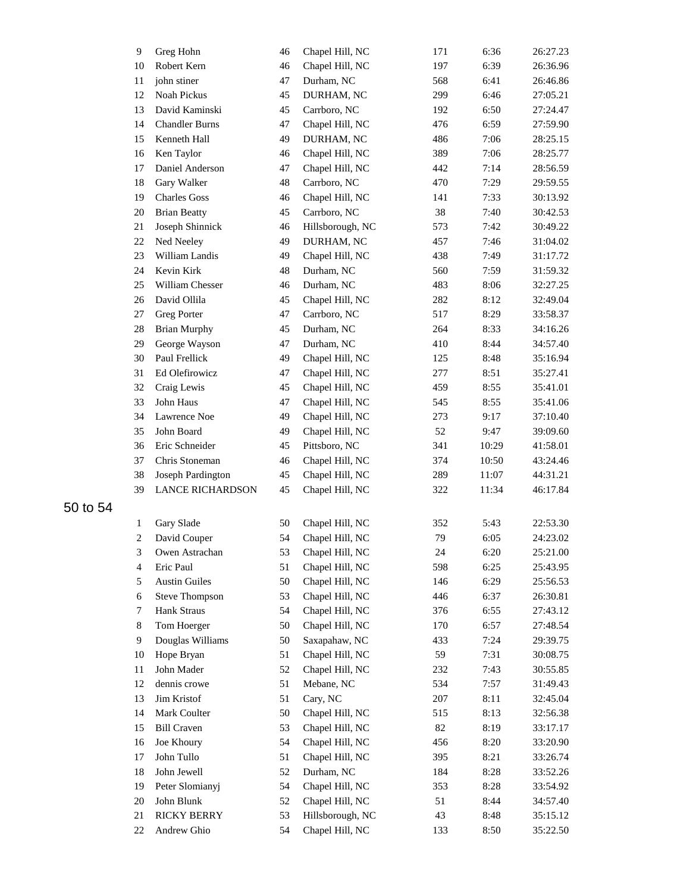| 9                        | Greg Hohn               | 46 | Chapel Hill, NC  | 171 | 6:36  | 26:27.23 |
|--------------------------|-------------------------|----|------------------|-----|-------|----------|
| 10                       | Robert Kern             | 46 | Chapel Hill, NC  | 197 | 6:39  | 26:36.96 |
| 11                       | john stiner             | 47 | Durham, NC       | 568 | 6:41  | 26:46.86 |
| 12                       | Noah Pickus             | 45 | DURHAM, NC       | 299 | 6:46  | 27:05.21 |
| 13                       | David Kaminski          | 45 | Carrboro, NC     | 192 | 6:50  | 27:24.47 |
| 14                       | <b>Chandler Burns</b>   | 47 | Chapel Hill, NC  | 476 | 6:59  | 27:59.90 |
| 15                       | Kenneth Hall            | 49 | DURHAM, NC       | 486 | 7:06  | 28:25.15 |
| 16                       | Ken Taylor              | 46 | Chapel Hill, NC  | 389 | 7:06  | 28:25.77 |
| 17                       | Daniel Anderson         | 47 | Chapel Hill, NC  | 442 | 7:14  | 28:56.59 |
| 18                       | Gary Walker             | 48 | Carrboro, NC     | 470 | 7:29  | 29:59.55 |
| 19                       | <b>Charles Goss</b>     | 46 | Chapel Hill, NC  | 141 | 7:33  | 30:13.92 |
| 20                       | <b>Brian Beatty</b>     | 45 | Carrboro, NC     | 38  | 7:40  | 30:42.53 |
| 21                       | Joseph Shinnick         | 46 | Hillsborough, NC | 573 | 7:42  | 30:49.22 |
| 22                       | Ned Neeley              | 49 | DURHAM, NC       | 457 | 7:46  | 31:04.02 |
| 23                       | William Landis          | 49 | Chapel Hill, NC  | 438 | 7:49  | 31:17.72 |
| 24                       | Kevin Kirk              | 48 | Durham, NC       | 560 | 7:59  | 31:59.32 |
| 25                       | William Chesser         | 46 | Durham, NC       | 483 | 8:06  | 32:27.25 |
| 26                       | David Ollila            | 45 | Chapel Hill, NC  | 282 | 8:12  | 32:49.04 |
| 27                       | <b>Greg Porter</b>      | 47 | Carrboro, NC     | 517 | 8:29  | 33:58.37 |
| 28                       | <b>Brian Murphy</b>     | 45 | Durham, NC       | 264 | 8:33  | 34:16.26 |
| 29                       | George Wayson           | 47 | Durham, NC       | 410 | 8:44  | 34:57.40 |
| 30                       | Paul Frellick           | 49 | Chapel Hill, NC  | 125 | 8:48  | 35:16.94 |
| 31                       | Ed Olefirowicz          | 47 | Chapel Hill, NC  | 277 | 8:51  | 35:27.41 |
| 32                       | Craig Lewis             | 45 | Chapel Hill, NC  | 459 | 8:55  | 35:41.01 |
| 33                       | John Haus               | 47 | Chapel Hill, NC  | 545 | 8:55  | 35:41.06 |
| 34                       | Lawrence Noe            | 49 | Chapel Hill, NC  | 273 | 9:17  | 37:10.40 |
| 35                       | John Board              | 49 | Chapel Hill, NC  | 52  | 9:47  | 39:09.60 |
|                          | Eric Schneider          |    |                  |     |       |          |
| 36                       |                         | 45 | Pittsboro, NC    | 341 | 10:29 | 41:58.01 |
| 37                       | Chris Stoneman          | 46 | Chapel Hill, NC  | 374 | 10:50 | 43:24.46 |
| 38                       | Joseph Pardington       | 45 | Chapel Hill, NC  | 289 | 11:07 | 44:31.21 |
| 39                       | <b>LANCE RICHARDSON</b> | 45 | Chapel Hill, NC  | 322 | 11:34 | 46:17.84 |
| $\mathbf{1}$             | Gary Slade              | 50 | Chapel Hill, NC  | 352 | 5:43  | 22:53.30 |
| $\overline{c}$           | David Couper            | 54 | Chapel Hill, NC  | 79  | 6:05  | 24:23.02 |
| 3                        | Owen Astrachan          | 53 | Chapel Hill, NC  | 24  | 6:20  | 25:21.00 |
| $\overline{\mathcal{A}}$ | Eric Paul               | 51 | Chapel Hill, NC  | 598 | 6:25  | 25:43.95 |
| 5                        | <b>Austin Guiles</b>    | 50 | Chapel Hill, NC  | 146 | 6:29  | 25:56.53 |
| 6                        | <b>Steve Thompson</b>   | 53 | Chapel Hill, NC  | 446 | 6:37  | 26:30.81 |
| 7                        | Hank Straus             | 54 | Chapel Hill, NC  | 376 | 6:55  | 27:43.12 |
| 8                        | Tom Hoerger             | 50 | Chapel Hill, NC  | 170 | 6:57  | 27:48.54 |
| 9                        | Douglas Williams        | 50 | Saxapahaw, NC    | 433 | 7:24  | 29:39.75 |
| 10                       | Hope Bryan              | 51 | Chapel Hill, NC  | 59  | 7:31  | 30:08.75 |
| 11                       | John Mader              | 52 | Chapel Hill, NC  | 232 | 7:43  | 30:55.85 |
| 12                       | dennis crowe            | 51 | Mebane, NC       | 534 | 7:57  | 31:49.43 |
| 13                       | Jim Kristof             | 51 | Cary, NC         | 207 | 8:11  | 32:45.04 |
| 14                       | Mark Coulter            | 50 | Chapel Hill, NC  | 515 | 8:13  | 32:56.38 |
| 15                       | <b>Bill Craven</b>      | 53 | Chapel Hill, NC  | 82  | 8:19  | 33:17.17 |
| 16                       | Joe Khoury              | 54 | Chapel Hill, NC  | 456 | 8:20  | 33:20.90 |
| 17                       | John Tullo              | 51 | Chapel Hill, NC  | 395 | 8:21  | 33:26.74 |
| 18                       | John Jewell             | 52 | Durham, NC       | 184 | 8:28  | 33:52.26 |
| 19                       | Peter Slomianyj         | 54 | Chapel Hill, NC  | 353 | 8:28  | 33:54.92 |
| $20\,$                   | John Blunk              | 52 | Chapel Hill, NC  | 51  | 8:44  | 34:57.40 |
| $21\,$                   | <b>RICKY BERRY</b>      | 53 | Hillsborough, NC | 43  | 8:48  | 35:15.12 |
| 22                       | Andrew Ghio             | 54 | Chapel Hill, NC  | 133 | 8:50  | 35:22.50 |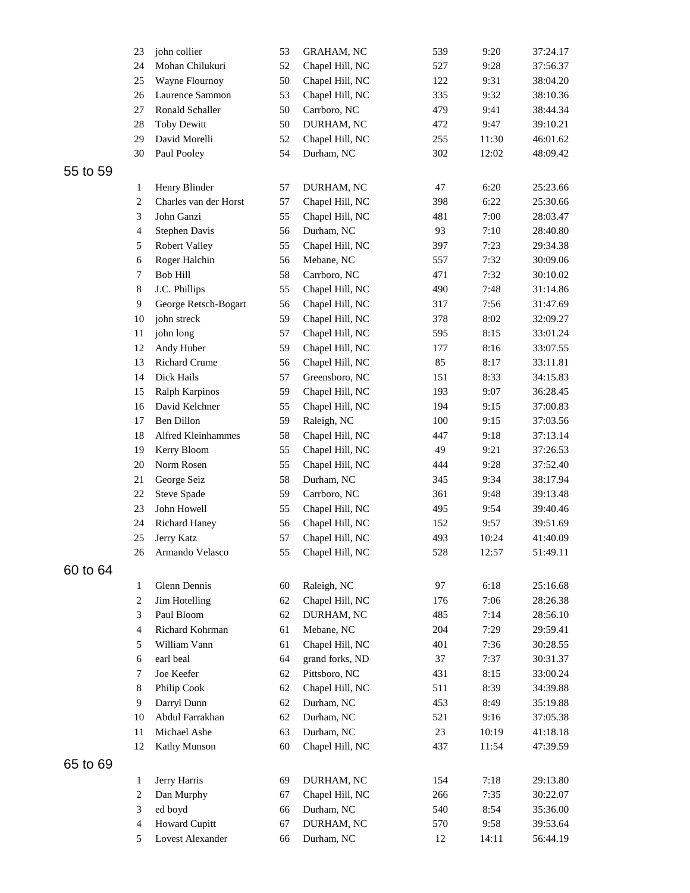|          | 23             | john collier                     | 53 | <b>GRAHAM, NC</b> | 539 | 9:20  | 37:24.17 |
|----------|----------------|----------------------------------|----|-------------------|-----|-------|----------|
|          | 24             | Mohan Chilukuri                  | 52 | Chapel Hill, NC   | 527 | 9:28  | 37:56.37 |
|          | 25             | Wayne Flournoy                   | 50 | Chapel Hill, NC   | 122 | 9:31  | 38:04.20 |
|          | 26             | Laurence Sammon                  | 53 | Chapel Hill, NC   | 335 | 9:32  | 38:10.36 |
|          | 27             | Ronald Schaller                  | 50 | Carrboro, NC      | 479 | 9:41  | 38:44.34 |
|          | 28             | <b>Toby Dewitt</b>               | 50 | DURHAM, NC        | 472 | 9:47  | 39:10.21 |
|          | 29             | David Morelli                    | 52 | Chapel Hill, NC   | 255 | 11:30 | 46:01.62 |
|          | 30             | Paul Pooley                      | 54 | Durham, NC        | 302 | 12:02 | 48:09.42 |
| 55 to 59 |                |                                  |    |                   |     |       |          |
|          | 1              | Henry Blinder                    | 57 | DURHAM, NC        | 47  | 6:20  | 25:23.66 |
|          | $\overline{c}$ | Charles van der Horst            | 57 | Chapel Hill, NC   | 398 | 6:22  | 25:30.66 |
|          | 3              | John Ganzi                       | 55 | Chapel Hill, NC   | 481 | 7:00  | 28:03.47 |
|          | 4              | Stephen Davis                    | 56 | Durham, NC        | 93  | 7:10  | 28:40.80 |
|          | 5              | <b>Robert Valley</b>             | 55 | Chapel Hill, NC   | 397 | 7:23  | 29:34.38 |
|          | 6              | Roger Halchin                    | 56 | Mebane, NC        | 557 | 7:32  | 30:09.06 |
|          | 7              | <b>Bob Hill</b>                  | 58 | Carrboro, NC      | 471 | 7:32  | 30:10.02 |
|          | $\,8\,$        | J.C. Phillips                    | 55 | Chapel Hill, NC   | 490 | 7:48  | 31:14.86 |
|          | $\overline{9}$ | George Retsch-Bogart             | 56 | Chapel Hill, NC   | 317 | 7:56  | 31:47.69 |
|          | 10             | john streck                      | 59 | Chapel Hill, NC   | 378 | 8:02  | 32:09.27 |
|          | 11             | john long                        | 57 | Chapel Hill, NC   | 595 | 8:15  | 33:01.24 |
|          | 12             | Andy Huber                       | 59 | Chapel Hill, NC   | 177 | 8:16  | 33:07.55 |
|          | 13             | <b>Richard Crume</b>             | 56 | Chapel Hill, NC   | 85  | 8:17  | 33:11.81 |
|          | 14             | Dick Hails                       | 57 | Greensboro, NC    | 151 | 8:33  | 34:15.83 |
|          |                |                                  |    |                   |     |       |          |
|          | 15             | Ralph Karpinos<br>David Kelchner | 59 | Chapel Hill, NC   | 193 | 9:07  | 36:28.45 |
|          | 16             |                                  | 55 | Chapel Hill, NC   | 194 | 9:15  | 37:00.83 |
|          | 17             | <b>Ben Dillon</b>                | 59 | Raleigh, NC       | 100 | 9:15  | 37:03.56 |
|          | 18             | Alfred Kleinhammes               | 58 | Chapel Hill, NC   | 447 | 9:18  | 37:13.14 |
|          | 19             | Kerry Bloom                      | 55 | Chapel Hill, NC   | 49  | 9:21  | 37:26.53 |
|          | 20             | Norm Rosen                       | 55 | Chapel Hill, NC   | 444 | 9:28  | 37:52.40 |
|          | 21             | George Seiz                      | 58 | Durham, NC        | 345 | 9:34  | 38:17.94 |
|          | 22             | Steve Spade                      | 59 | Carrboro, NC      | 361 | 9:48  | 39:13.48 |
|          | 23             | John Howell                      | 55 | Chapel Hill, NC   | 495 | 9:54  | 39:40.46 |
|          | 24             | <b>Richard Haney</b>             | 56 | Chapel Hill, NC   | 152 | 9:57  | 39:51.69 |
|          | 25             | Jerry Katz                       | 57 | Chapel Hill, NC   | 493 | 10:24 | 41:40.09 |
|          | 26             | Armando Velasco                  | 55 | Chapel Hill, NC   | 528 | 12:57 | 51:49.11 |
| 60 to 64 |                |                                  |    |                   |     |       |          |
|          | $\mathbf{1}$   | Glenn Dennis                     | 60 | Raleigh, NC       | 97  | 6:18  | 25:16.68 |
|          | $\overline{c}$ | Jim Hotelling                    | 62 | Chapel Hill, NC   | 176 | 7:06  | 28:26.38 |
|          | 3              | Paul Bloom                       | 62 | DURHAM, NC        | 485 | 7:14  | 28:56.10 |
|          | $\overline{4}$ | Richard Kohrman                  | 61 | Mebane, NC        | 204 | 7:29  | 29:59.41 |
|          | 5              | William Vann                     | 61 | Chapel Hill, NC   | 401 | 7:36  | 30:28.55 |
|          | 6              | earl beal                        | 64 | grand forks, ND   | 37  | 7:37  | 30:31.37 |
|          | 7              | Joe Keefer                       | 62 | Pittsboro, NC     | 431 | 8:15  | 33:00.24 |
|          | $\,8\,$        | Philip Cook                      | 62 | Chapel Hill, NC   | 511 | 8:39  | 34:39.88 |
|          | 9              | Darryl Dunn                      | 62 | Durham, NC        | 453 | 8:49  | 35:19.88 |
|          | 10             | Abdul Farrakhan                  | 62 | Durham, NC        | 521 | 9:16  | 37:05.38 |
|          | 11             | Michael Ashe                     | 63 | Durham, NC        | 23  | 10:19 | 41:18.18 |
|          | 12             | Kathy Munson                     | 60 | Chapel Hill, NC   | 437 | 11:54 | 47:39.59 |
| 65 to 69 |                |                                  |    |                   |     |       |          |
|          | 1              | Jerry Harris                     | 69 | DURHAM, NC        | 154 | 7:18  | 29:13.80 |
|          | $\overline{c}$ | Dan Murphy                       | 67 | Chapel Hill, NC   | 266 | 7:35  | 30:22.07 |
|          | 3              | ed boyd                          | 66 | Durham, NC        | 540 | 8:54  | 35:36.00 |
|          | 4              | <b>Howard Cupitt</b>             | 67 | DURHAM, NC        | 570 | 9:58  | 39:53.64 |
|          | 5              | Lovest Alexander                 | 66 | Durham, NC        | 12  | 14:11 | 56:44.19 |
|          |                |                                  |    |                   |     |       |          |